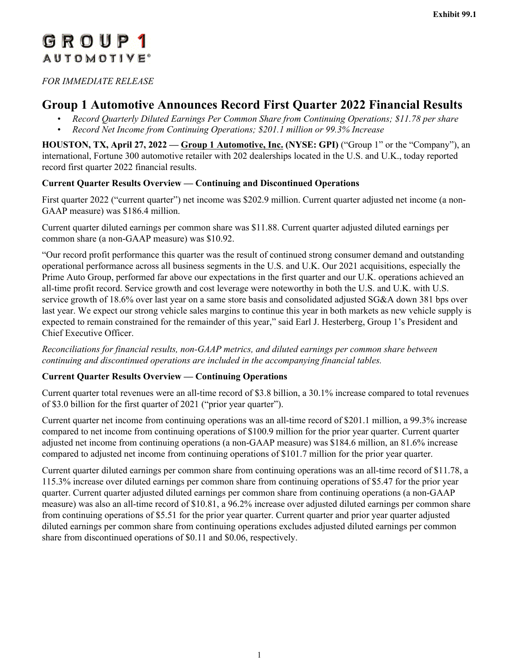# <span id="page-0-0"></span>GROUP1 **AUTOMOTIVE**<sup>®</sup>

*FOR IMMEDIATE RELEASE*

# **Group 1 Automotive Announces Record First Quarter 2022 Financial Results**

- *• Record Quarterly Diluted Earnings Per Common Share from Continuing Operations; \$11.78 per share*
- *• Record Net Income from Continuing Operations; \$201.1 million or 99.3% Increase*

**HOUSTON, TX, April 27, 2022 — Group 1 Automotive, Inc. (NYSE: GPI)** ("Group 1" or the "Company"), an international, Fortune 300 automotive retailer with 202 dealerships located in the U.S. and U.K., today reported record first quarter 2022 financial results.

## **Current Quarter Results Overview — Continuing and Discontinued Operations**

First quarter 2022 ("current quarter") net income was \$202.9 million. Current quarter adjusted net income (a non-GAAP measure) was \$186.4 million.

Current quarter diluted earnings per common share was \$11.88. Current quarter adjusted diluted earnings per common share (a non-GAAP measure) was \$10.92.

"Our record profit performance this quarter was the result of continued strong consumer demand and outstanding operational performance across all business segments in the U.S. and U.K. Our 2021 acquisitions, especially the Prime Auto Group, performed far above our expectations in the first quarter and our U.K. operations achieved an all-time profit record. Service growth and cost leverage were noteworthy in both the U.S. and U.K. with U.S. service growth of 18.6% over last year on a same store basis and consolidated adjusted SG&A down 381 bps over last year. We expect our strong vehicle sales margins to continue this year in both markets as new vehicle supply is expected to remain constrained for the remainder of this year," said Earl J. Hesterberg, Group 1's President and Chief Executive Officer.

*Reconciliations for financial results, non-GAAP metrics, and diluted earnings per common share between continuing and discontinued operations are included in the accompanying financial tables.*

## **Current Quarter Results Overview — Continuing Operations**

Current quarter total revenues were an all-time record of \$3.8 billion, a 30.1% increase compared to total revenues of \$3.0 billion for the first quarter of 2021 ("prior year quarter").

Current quarter net income from continuing operations was an all-time record of \$201.1 million, a 99.3% increase compared to net income from continuing operations of \$100.9 million for the prior year quarter. Current quarter adjusted net income from continuing operations (a non-GAAP measure) was \$184.6 million, an 81.6% increase compared to adjusted net income from continuing operations of \$101.7 million for the prior year quarter.

Current quarter diluted earnings per common share from continuing operations was an all-time record of \$11.78, a 115.3% increase over diluted earnings per common share from continuing operations of \$5.47 for the prior year quarter. Current quarter adjusted diluted earnings per common share from continuing operations (a non-GAAP measure) was also an all-time record of \$10.81, a 96.2% increase over adjusted diluted earnings per common share from continuing operations of \$5.51 for the prior year quarter. Current quarter and prior year quarter adjusted diluted earnings per common share from continuing operations excludes adjusted diluted earnings per common share from discontinued operations of \$0.11 and \$0.06, respectively.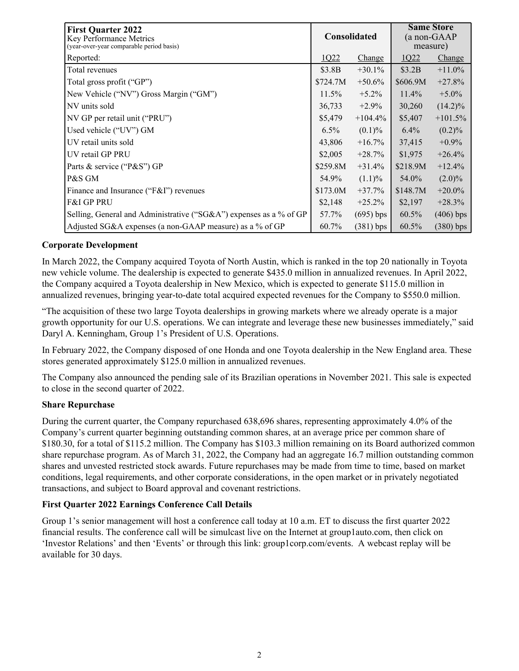| <b>First Quarter 2022</b><br>Key Performance Metrics<br>(year-over-year comparable period basis) |          | <b>Consolidated</b> |          | <b>Same Store</b><br>(a non-GAAP<br>measure) |
|--------------------------------------------------------------------------------------------------|----------|---------------------|----------|----------------------------------------------|
| Reported:                                                                                        | 1Q22     | Change              | 1022     | Change                                       |
| Total revenues                                                                                   | \$3.8B   | $+30.1%$            | \$3.2B   | $+11.0\%$                                    |
| Total gross profit ("GP")                                                                        | \$724.7M | $+50.6%$            | \$606.9M | $+27.8%$                                     |
| New Vehicle ("NV") Gross Margin ("GM")                                                           | 11.5%    | $+5.2\%$            | 11.4%    | $+5.0\%$                                     |
| NV units sold                                                                                    | 36,733   | $+2.9\%$            | 30,260   | $(14.2)\%$                                   |
| NV GP per retail unit ("PRU")                                                                    | \$5,479  | $+104.4\%$          | \$5,407  | $+101.5%$                                    |
| Used vehicle ("UV") GM                                                                           | $6.5\%$  | $(0.1)\%$           | $6.4\%$  | $(0.2)\%$                                    |
| UV retail units sold                                                                             | 43,806   | $+16.7%$            | 37,415   | $+0.9\%$                                     |
| UV retail GP PRU                                                                                 | \$2,005  | $+28.7%$            | \$1,975  | $+26.4%$                                     |
| Parts & service ("P&S") GP                                                                       | \$259.8M | $+31.4%$            | \$218.9M | $+12.4%$                                     |
| P&S GM                                                                                           | 54.9%    | $(1.1)\%$           | 54.0%    | $(2.0)\%$                                    |
| Finance and Insurance (" $F&I''$ ) revenues                                                      | \$173.0M | $+37.7%$            | \$148.7M | $+20.0\%$                                    |
| <b>F&amp;I GP PRU</b>                                                                            | \$2,148  | $+25.2%$            | \$2,197  | $+28.3%$                                     |
| Selling, General and Administrative ("SG&A") expenses as a % of GP                               | 57.7%    | $(695)$ bps         | 60.5%    | $(406)$ bps                                  |
| Adjusted SG&A expenses (a non-GAAP measure) as a % of GP                                         | $60.7\%$ | $(381)$ bps         | 60.5%    | $(380)$ bps                                  |

## **Corporate Development**

In March 2022, the Company acquired Toyota of North Austin, which is ranked in the top 20 nationally in Toyota new vehicle volume. The dealership is expected to generate \$435.0 million in annualized revenues. In April 2022, the Company acquired a Toyota dealership in New Mexico, which is expected to generate \$115.0 million in annualized revenues, bringing year-to-date total acquired expected revenues for the Company to \$550.0 million.

"The acquisition of these two large Toyota dealerships in growing markets where we already operate is a major growth opportunity for our U.S. operations. We can integrate and leverage these new businesses immediately," said Daryl A. Kenningham, Group 1's President of U.S. Operations.

In February 2022, the Company disposed of one Honda and one Toyota dealership in the New England area. These stores generated approximately \$125.0 million in annualized revenues.

The Company also announced the pending sale of its Brazilian operations in November 2021. This sale is expected to close in the second quarter of 2022.

### **Share Repurchase**

During the current quarter, the Company repurchased 638,696 shares, representing approximately 4.0% of the Company's current quarter beginning outstanding common shares, at an average price per common share of \$180.30, for a total of \$115.2 million. The Company has \$103.3 million remaining on its Board authorized common share repurchase program. As of March 31, 2022, the Company had an aggregate 16.7 million outstanding common shares and unvested restricted stock awards. Future repurchases may be made from time to time, based on market conditions, legal requirements, and other corporate considerations, in the open market or in privately negotiated transactions, and subject to Board approval and covenant restrictions.

### **First Quarter 2022 Earnings Conference Call Details**

Group 1's senior management will host a conference call today at 10 a.m. ET to discuss the first quarter 2022 financial results. The conference call will be simulcast live on the Internet at group1auto.com, then click on 'Investor Relations' and then 'Events' or through this link: group1corp.com/events. A webcast replay will be available for 30 days.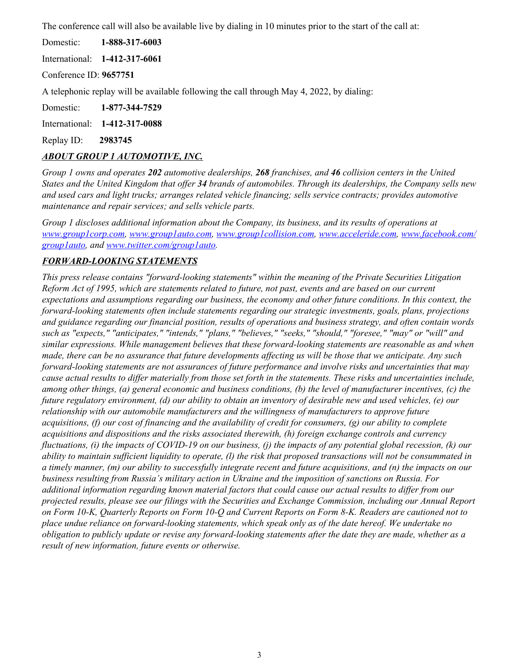The conference call will also be available live by dialing in 10 minutes prior to the start of the call at:

Domestic: **1-888-317-6003**

International: **1-412-317-6061**

Conference ID: **9657751**

A telephonic replay will be available following the call through May 4, 2022, by dialing:

Domestic: **1-877-344-7529**

International: **1-412-317-0088**

Replay ID: **2983745**

## *ABOUT GROUP 1 AUTOMOTIVE, INC.*

*Group 1 owns and operates 202 automotive dealerships, 268 franchises, and 46 collision centers in the United States and the United Kingdom that offer 34 brands of automobiles. Through its dealerships, the Company sells new and used cars and light trucks; arranges related vehicle financing; sells service contracts; provides automotive maintenance and repair services; and sells vehicle parts.*

*Group 1 discloses additional information about the Company, its business, and its results of operations at [www.group1corp.com](#page-0-0), [www.group1auto.com, www.group1collision.com, www.acceleride.com, www.facebook.com/](#page-0-0) [group1auto,](#page-0-0) and [www.twitter.com/group1auto.](#page-0-0)* 

## *FORWARD-LOOKING STATEMENTS*

*This press release contains "forward-looking statements" within the meaning of the Private Securities Litigation Reform Act of 1995, which are statements related to future, not past, events and are based on our current expectations and assumptions regarding our business, the economy and other future conditions. In this context, the forward-looking statements often include statements regarding our strategic investments, goals, plans, projections and guidance regarding our financial position, results of operations and business strategy, and often contain words such as "expects," "anticipates," "intends," "plans," "believes," "seeks," "should," "foresee," "may" or "will" and similar expressions. While management believes that these forward-looking statements are reasonable as and when made, there can be no assurance that future developments affecting us will be those that we anticipate. Any such forward-looking statements are not assurances of future performance and involve risks and uncertainties that may cause actual results to differ materially from those set forth in the statements. These risks and uncertainties include, among other things, (a) general economic and business conditions, (b) the level of manufacturer incentives, (c) the future regulatory environment, (d) our ability to obtain an inventory of desirable new and used vehicles, (e) our relationship with our automobile manufacturers and the willingness of manufacturers to approve future acquisitions, (f) our cost of financing and the availability of credit for consumers, (g) our ability to complete acquisitions and dispositions and the risks associated therewith, (h) foreign exchange controls and currency fluctuations, (i) the impacts of COVID-19 on our business, (j) the impacts of any potential global recession, (k) our ability to maintain sufficient liquidity to operate, (l) the risk that proposed transactions will not be consummated in a timely manner, (m) our ability to successfully integrate recent and future acquisitions, and (n) the impacts on our business resulting from Russia's military action in Ukraine and the imposition of sanctions on Russia. For additional information regarding known material factors that could cause our actual results to differ from our projected results, please see our filings with the Securities and Exchange Commission, including our Annual Report on Form 10-K, Quarterly Reports on Form 10-Q and Current Reports on Form 8-K. Readers are cautioned not to place undue reliance on forward-looking statements, which speak only as of the date hereof. We undertake no obligation to publicly update or revise any forward-looking statements after the date they are made, whether as a result of new information, future events or otherwise.*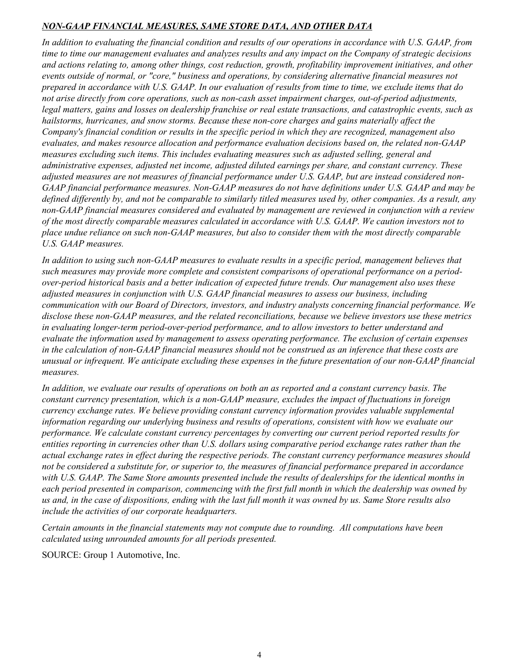## *NON-GAAP FINANCIAL MEASURES, SAME STORE DATA, AND OTHER DATA*

*In addition to evaluating the financial condition and results of our operations in accordance with U.S. GAAP, from time to time our management evaluates and analyzes results and any impact on the Company of strategic decisions and actions relating to, among other things, cost reduction, growth, profitability improvement initiatives, and other events outside of normal, or "core," business and operations, by considering alternative financial measures not prepared in accordance with U.S. GAAP. In our evaluation of results from time to time, we exclude items that do not arise directly from core operations, such as non-cash asset impairment charges, out-of-period adjustments, legal matters, gains and losses on dealership franchise or real estate transactions, and catastrophic events, such as hailstorms, hurricanes, and snow storms. Because these non-core charges and gains materially affect the Company's financial condition or results in the specific period in which they are recognized, management also evaluates, and makes resource allocation and performance evaluation decisions based on, the related non-GAAP measures excluding such items. This includes evaluating measures such as adjusted selling, general and administrative expenses, adjusted net income, adjusted diluted earnings per share, and constant currency. These adjusted measures are not measures of financial performance under U.S. GAAP, but are instead considered non-GAAP financial performance measures. Non-GAAP measures do not have definitions under U.S. GAAP and may be defined differently by, and not be comparable to similarly titled measures used by, other companies. As a result, any non-GAAP financial measures considered and evaluated by management are reviewed in conjunction with a review of the most directly comparable measures calculated in accordance with U.S. GAAP. We caution investors not to place undue reliance on such non-GAAP measures, but also to consider them with the most directly comparable U.S. GAAP measures.*

In addition to using such non-GAAP measures to evaluate results in a specific period, management believes that *such measures may provide more complete and consistent comparisons of operational performance on a periodover-period historical basis and a better indication of expected future trends. Our management also uses these adjusted measures in conjunction with U.S. GAAP financial measures to assess our business, including communication with our Board of Directors, investors, and industry analysts concerning financial performance. We disclose these non-GAAP measures, and the related reconciliations, because we believe investors use these metrics in evaluating longer-term period-over-period performance, and to allow investors to better understand and evaluate the information used by management to assess operating performance. The exclusion of certain expenses in the calculation of non-GAAP financial measures should not be construed as an inference that these costs are unusual or infrequent. We anticipate excluding these expenses in the future presentation of our non-GAAP financial measures.*

*In addition, we evaluate our results of operations on both an as reported and a constant currency basis. The constant currency presentation, which is a non-GAAP measure, excludes the impact of fluctuations in foreign currency exchange rates. We believe providing constant currency information provides valuable supplemental information regarding our underlying business and results of operations, consistent with how we evaluate our performance. We calculate constant currency percentages by converting our current period reported results for entities reporting in currencies other than U.S. dollars using comparative period exchange rates rather than the actual exchange rates in effect during the respective periods. The constant currency performance measures should not be considered a substitute for, or superior to, the measures of financial performance prepared in accordance with U.S. GAAP. The Same Store amounts presented include the results of dealerships for the identical months in each period presented in comparison, commencing with the first full month in which the dealership was owned by us and, in the case of dispositions, ending with the last full month it was owned by us. Same Store results also include the activities of our corporate headquarters.*

*Certain amounts in the financial statements may not compute due to rounding. All computations have been calculated using unrounded amounts for all periods presented.*

SOURCE: Group 1 Automotive, Inc.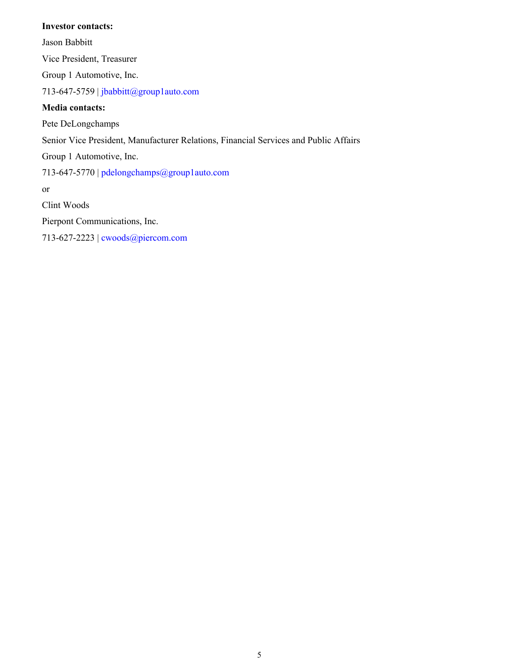### **Investor contacts:**

Jason Babbitt Vice President, Treasurer Group 1 Automotive, Inc. 713-647-5759 | jbabbitt@group1auto.com **Media contacts:** Pete DeLongchamps Senior Vice President, Manufacturer Relations, Financial Services and Public Affairs Group 1 Automotive, Inc. 713-647-5770 | pdelongchamps@group1auto.com or Clint Woods Pierpont Communications, Inc.

713-627-2223 | cwoods@piercom.com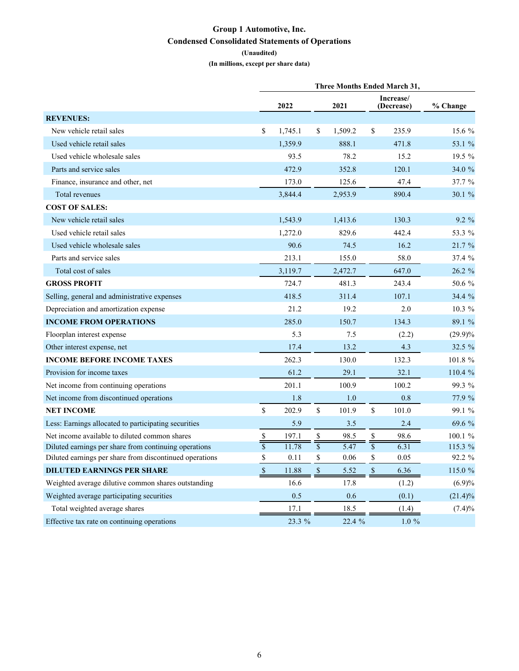## **Group 1 Automotive, Inc. Condensed Consolidated Statements of Operations**

**(Unaudited)**

**(In millions, except per share data)**

|                                                         |               |         |                          | <b>Three Months Ended March 31,</b> |                          |                         |            |
|---------------------------------------------------------|---------------|---------|--------------------------|-------------------------------------|--------------------------|-------------------------|------------|
|                                                         |               | 2022    |                          | 2021                                |                          | Increase/<br>(Decrease) | % Change   |
| <b>REVENUES:</b>                                        |               |         |                          |                                     |                          |                         |            |
| New vehicle retail sales                                | \$            | 1,745.1 | \$                       | 1,509.2                             | \$                       | 235.9                   | 15.6 %     |
| Used vehicle retail sales                               |               | 1,359.9 |                          | 888.1                               |                          | 471.8                   | 53.1 %     |
| Used vehicle wholesale sales                            |               | 93.5    |                          | 78.2                                |                          | 15.2                    | 19.5 %     |
| Parts and service sales                                 |               | 472.9   |                          | 352.8                               |                          | 120.1                   | 34.0 %     |
| Finance, insurance and other, net                       |               | 173.0   |                          | 125.6                               |                          | 47.4                    | 37.7 %     |
| Total revenues                                          |               | 3,844.4 |                          | 2,953.9                             |                          | 890.4                   | 30.1 %     |
| <b>COST OF SALES:</b>                                   |               |         |                          |                                     |                          |                         |            |
| New vehicle retail sales                                |               | 1,543.9 |                          | 1,413.6                             |                          | 130.3                   | 9.2 %      |
| Used vehicle retail sales                               |               | 1,272.0 |                          | 829.6                               |                          | 442.4                   | 53.3 %     |
| Used vehicle wholesale sales                            |               | 90.6    |                          | 74.5                                |                          | 16.2                    | 21.7 %     |
| Parts and service sales                                 |               | 213.1   |                          | 155.0                               |                          | 58.0                    | 37.4%      |
| Total cost of sales                                     |               | 3,119.7 |                          | 2,472.7                             |                          | 647.0                   | 26.2 %     |
| <b>GROSS PROFIT</b>                                     |               | 724.7   |                          | 481.3                               |                          | 243.4                   | 50.6 %     |
| Selling, general and administrative expenses            |               | 418.5   |                          | 311.4                               |                          | 107.1                   | 34.4%      |
| Depreciation and amortization expense                   |               | 21.2    |                          | 19.2                                |                          | 2.0                     | $10.3\%$   |
| <b>INCOME FROM OPERATIONS</b>                           |               | 285.0   |                          | 150.7                               |                          | 134.3                   | 89.1 %     |
| Floorplan interest expense                              |               | 5.3     |                          | 7.5                                 |                          | (2.2)                   | $(29.9)\%$ |
| Other interest expense, net                             |               | 17.4    |                          | 13.2                                |                          | 4.3                     | 32.5 %     |
| <b>INCOME BEFORE INCOME TAXES</b>                       |               | 262.3   |                          | 130.0                               |                          | 132.3                   | 101.8 %    |
| Provision for income taxes                              |               | 61.2    |                          | 29.1                                |                          | 32.1                    | 110.4 %    |
| Net income from continuing operations                   |               | 201.1   |                          | 100.9                               |                          | 100.2                   | 99.3 %     |
| Net income from discontinued operations                 |               | 1.8     |                          | 1.0                                 |                          | 0.8                     | 77.9 %     |
| <b>NET INCOME</b>                                       | \$            | 202.9   | $\mathbf{\hat{S}}$       | 101.9                               | \$                       | 101.0                   | 99.1 %     |
| Less: Earnings allocated to participating securities    |               | 5.9     |                          | 3.5                                 |                          | 2.4                     | 69.6 %     |
| Net income available to diluted common shares           | \$            | 197.1   | \$                       | 98.5                                | \$                       | 98.6                    | 100.1 %    |
| Diluted earnings per share from continuing operations   |               | 11.78   | $\overline{\mathcal{S}}$ | 5.47                                | $\overline{\mathcal{S}}$ | 6.31                    | 115.3 %    |
| Diluted earnings per share from discontinued operations | $\mathbb S$   | 0.11    | \$                       | 0.06                                | \$                       | 0.05                    | 92.2 %     |
| <b>DILUTED EARNINGS PER SHARE</b>                       | $\mathcal{S}$ | 11.88   | $\mathbb S$              | 5.52                                | $\mathsf{\$}$            | 6.36                    | 115.0 %    |
| Weighted average dilutive common shares outstanding     |               | 16.6    |                          | 17.8                                |                          | (1.2)                   | (6.9)%     |
| Weighted average participating securities               |               | 0.5     |                          | 0.6                                 |                          | (0.1)                   | $(21.4)\%$ |
| Total weighted average shares                           |               | 17.1    |                          | 18.5                                |                          | (1.4)                   | (7.4)%     |
| Effective tax rate on continuing operations             |               | 23.3 %  |                          | 22.4 %                              |                          | $1.0 \%$                |            |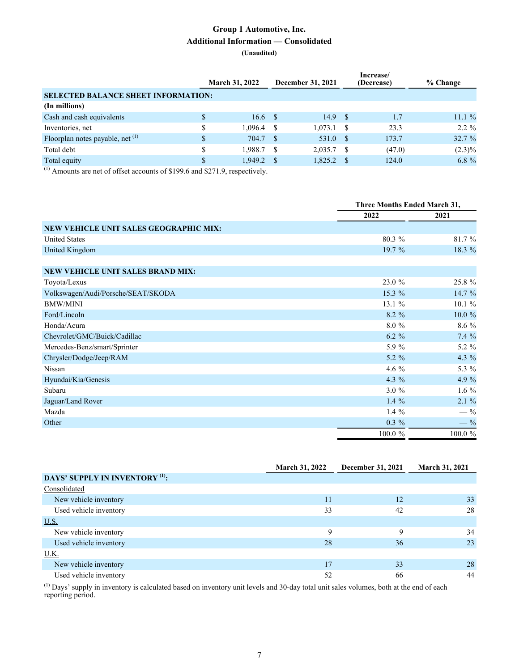## **Group 1 Automotive, Inc. Additional Information — Consolidated**

#### **(Unaudited)**

|                                            | <b>March 31, 2022</b> | December 31, 2021 |    | Increase/<br>(Decrease) | % Change  |
|--------------------------------------------|-----------------------|-------------------|----|-------------------------|-----------|
| <b>SELECTED BALANCE SHEET INFORMATION:</b> |                       |                   |    |                         |           |
| (In millions)                              |                       |                   |    |                         |           |
| Cash and cash equivalents                  | 16.6 S                | 14.9 S            |    | 1.7                     | 11.1%     |
| Inventories, net                           | $1,096.4$ \$          | 1.073.1           |    | 23.3                    | $2.2\%$   |
| Floorplan notes payable, net $(1)$         | 704.7 \$              | 531.0             | -8 | 173.7                   | 32.7 %    |
| Total debt                                 | 1.988.7 \$            | 2,035.7           | S  | (47.0)                  | $(2.3)\%$ |
| Total equity                               | 1.949.2               | 1,825.2           |    | 124.0                   | $6.8 \%$  |

(1) Amounts are net of offset accounts of \$199.6 and \$271.9, respectively.

|                                        | Three Months Ended March 31, |          |
|----------------------------------------|------------------------------|----------|
|                                        | 2022                         | 2021     |
| NEW VEHICLE UNIT SALES GEOGRAPHIC MIX: |                              |          |
| <b>United States</b>                   | 80.3 %                       | 81.7 %   |
| United Kingdom                         | 19.7 %                       | 18.3 %   |
|                                        |                              |          |
| NEW VEHICLE UNIT SALES BRAND MIX:      |                              |          |
| Toyota/Lexus                           | 23.0 %                       | 25.8 %   |
| Volkswagen/Audi/Porsche/SEAT/SKODA     | 15.3 %                       | 14.7 %   |
| <b>BMW/MINI</b>                        | 13.1 %                       | 10.1%    |
| Ford/Lincoln                           | $8.2\%$                      | 10.0 %   |
| Honda/Acura                            | 8.0 %                        | 8.6 %    |
| Chevrolet/GMC/Buick/Cadillac           | $6.2 \%$                     | 7.4%     |
| Mercedes-Benz/smart/Sprinter           | 5.9 %                        | 5.2 %    |
| Chrysler/Dodge/Jeep/RAM                | $5.2 \%$                     | 4.3 $%$  |
| Nissan                                 | 4.6 $%$                      | 5.3 %    |
| Hyundai/Kia/Genesis                    | 4.3 %                        | 4.9 %    |
| Subaru                                 | 3.0%                         | $1.6\%$  |
| Jaguar/Land Rover                      | 1.4 $%$                      | $2.1 \%$ |
| Mazda                                  | $1.4\%$                      | $-$ %    |
| Other                                  | $0.3 \%$                     | $-$ %    |
|                                        | 100.0 %                      | 100.0 %  |

|                                            | <b>March 31, 2022</b> | December 31, 2021 | <b>March 31, 2021</b> |
|--------------------------------------------|-----------------------|-------------------|-----------------------|
| DAYS' SUPPLY IN INVENTORY <sup>(1)</sup> : |                       |                   |                       |
| Consolidated                               |                       |                   |                       |
| New vehicle inventory                      | 11                    | 12                | 33                    |
| Used vehicle inventory                     | 33                    | 42                | 28                    |
| <u>U.S.</u>                                |                       |                   |                       |
| New vehicle inventory                      | 9                     | 9                 | 34                    |
| Used vehicle inventory                     | 28                    | 36                | 23                    |
| U.K.                                       |                       |                   |                       |
| New vehicle inventory                      | 17                    | 33                | 28                    |
| Used vehicle inventory                     | 52                    | 66                | 44                    |

 $<sup>(1)</sup>$  Days' supply in inventory is calculated based on inventory unit levels and 30-day total unit sales volumes, both at the end of each</sup> reporting period.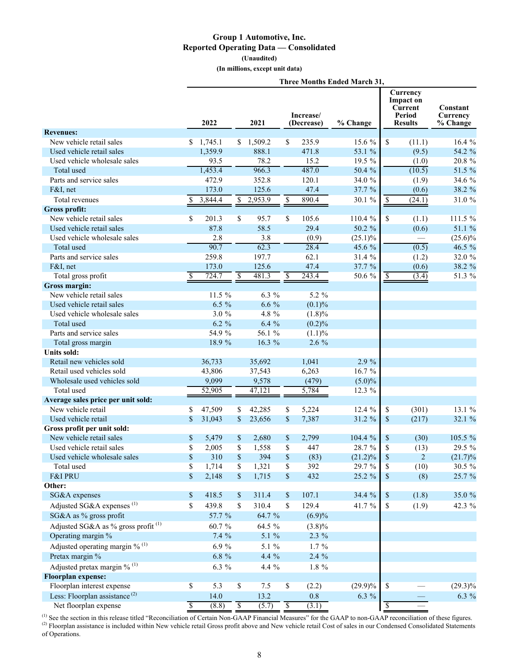## **Group 1 Automotive, Inc. Reported Operating Data — Consolidated**

**(Unaudited)**

**(In millions, except unit data)**

|                                                | Three Months Ended March 31, |           |                      |           |                          |                         |            |                          |                                                              |                                         |
|------------------------------------------------|------------------------------|-----------|----------------------|-----------|--------------------------|-------------------------|------------|--------------------------|--------------------------------------------------------------|-----------------------------------------|
|                                                |                              | 2022      |                      | 2021      |                          | Increase/<br>(Decrease) | % Change   |                          | Currency<br>Impact on<br>Current<br>Period<br><b>Results</b> | <b>Constant</b><br>Currency<br>% Change |
| <b>Revenues:</b>                               |                              |           |                      |           |                          |                         |            |                          |                                                              |                                         |
| New vehicle retail sales                       |                              | \$1,745.1 |                      | \$1,509.2 | \$                       | 235.9                   | 15.6 %     | \$                       | (11.1)                                                       | 16.4%                                   |
| Used vehicle retail sales                      |                              | 1,359.9   |                      | 888.1     |                          | 471.8                   | 53.1 %     |                          | (9.5)                                                        | 54.2 %                                  |
| Used vehicle wholesale sales                   |                              | 93.5      |                      | 78.2      |                          | 15.2                    | 19.5 %     |                          | (1.0)                                                        | 20.8 %                                  |
| Total used                                     |                              | 1,453.4   |                      | 966.3     |                          | 487.0                   | 50.4 %     |                          | (10.5)                                                       | 51.5 %                                  |
| Parts and service sales                        |                              | 472.9     |                      | 352.8     |                          | 120.1                   | 34.0 %     |                          | (1.9)                                                        | 34.6 %                                  |
| F&I, net                                       |                              | 173.0     |                      | 125.6     |                          | 47.4                    | 37.7 %     |                          | (0.6)                                                        | 38.2 %                                  |
| <b>Total revenues</b>                          | \$                           | 3,844.4   | \$                   | 2,953.9   | \$                       | 890.4                   | 30.1 %     | \$                       | (24.1)                                                       | 31.0 %                                  |
| <b>Gross profit:</b>                           |                              |           |                      |           |                          |                         |            |                          |                                                              |                                         |
| New vehicle retail sales                       | \$                           | 201.3     | \$                   | 95.7      | \$                       | 105.6                   | 110.4 %    | \$                       | (1.1)                                                        | 111.5 %                                 |
| Used vehicle retail sales                      |                              | 87.8      |                      | 58.5      |                          | 29.4                    | 50.2 %     |                          | (0.6)                                                        | 51.1 %                                  |
| Used vehicle wholesale sales                   |                              | 2.8       |                      | 3.8       |                          | (0.9)                   | $(25.1)\%$ |                          |                                                              | $(25.6)\%$                              |
| Total used                                     |                              | 90.7      |                      | 62.3      |                          | 28.4                    | 45.6 %     |                          | (0.5)                                                        | 46.5 %                                  |
| Parts and service sales                        |                              | 259.8     |                      | 197.7     |                          | 62.1                    | 31.4 %     |                          | (1.2)                                                        | 32.0 %                                  |
| F&I, net                                       |                              | 173.0     |                      | 125.6     |                          | 47.4                    | 37.7 %     |                          | (0.6)                                                        | 38.2 %                                  |
| Total gross profit                             | \$                           | 724.7     | \$                   | 481.3     | $\overline{\mathbb{S}}$  | 243.4                   | 50.6 %     | S                        | (3.4)                                                        | 51.3 %                                  |
| Gross margin:                                  |                              |           |                      |           |                          |                         |            |                          |                                                              |                                         |
| New vehicle retail sales                       |                              | 11.5 %    |                      | $6.3 \%$  |                          | 5.2 %                   |            |                          |                                                              |                                         |
| Used vehicle retail sales                      |                              | $6.5 \%$  |                      | $6.6\%$   |                          | (0.1)%                  |            |                          |                                                              |                                         |
| Used vehicle wholesale sales                   |                              | 3.0%      |                      | 4.8 %     |                          | $(1.8)\%$               |            |                          |                                                              |                                         |
| Total used                                     |                              | $6.2 \%$  |                      | 6.4%      |                          | (0.2)%                  |            |                          |                                                              |                                         |
| Parts and service sales                        |                              | 54.9 %    |                      | 56.1 %    |                          | (1.1)%                  |            |                          |                                                              |                                         |
| Total gross margin                             |                              | 18.9 %    |                      | 16.3 %    |                          | 2.6 %                   |            |                          |                                                              |                                         |
| Units sold:                                    |                              |           |                      |           |                          |                         |            |                          |                                                              |                                         |
| Retail new vehicles sold                       |                              | 36,733    |                      | 35,692    |                          | 1,041                   | 2.9 %      |                          |                                                              |                                         |
| Retail used vehicles sold                      |                              | 43,806    |                      | 37,543    |                          | 6,263                   | 16.7 %     |                          |                                                              |                                         |
| Wholesale used vehicles sold                   |                              | 9,099     |                      | 9,578     |                          | (479)                   | $(5.0)\%$  |                          |                                                              |                                         |
| Total used                                     |                              | 52,905    |                      | 47,121    |                          | 5,784                   | 12.3 %     |                          |                                                              |                                         |
| Average sales price per unit sold:             |                              |           |                      |           |                          |                         |            |                          |                                                              |                                         |
| New vehicle retail                             | \$                           | 47,509    | \$                   | 42,285    | \$                       | 5,224                   | 12.4 %     | \$                       | (301)                                                        | 13.1 %                                  |
| Used vehicle retail                            | $\mathbf S$                  | 31,043    | $\mathbb{S}$         | 23,656    | \$                       | 7,387                   | 31.2 %     | \$                       | (217)                                                        | 32.1 %                                  |
| Gross profit per unit sold:                    |                              |           |                      |           |                          |                         |            |                          |                                                              |                                         |
| New vehicle retail sales                       | \$                           | 5,479     | \$                   | 2,680     | \$                       | 2,799                   | 104.4 %    | \$                       | (30)                                                         | 105.5 %                                 |
| Used vehicle retail sales                      | \$                           | 2,005     | \$                   | 1,558     | \$                       | 447                     | 28.7%      | \$                       | (13)                                                         | 29.5 %                                  |
| Used vehicle wholesale sales                   | $\mathbb S$                  | 310       | \$                   | 394       | \$                       | (83)                    | $(21.2)\%$ | $\boldsymbol{\$}$        | $\overline{c}$                                               | $(21.7)\%$                              |
| Total used                                     | \$                           | 1,714     | \$                   | 1,321     | \$                       | 392                     | 29.7 %     | \$                       | (10)                                                         | 30.5 %                                  |
| F&I PRU                                        | \$                           | 2,148     | $\$$                 | 1,715     | \$                       | 432                     | 25.2 %     | $\$$                     | (8)                                                          | 25.7 %                                  |
| Other:                                         |                              |           |                      |           |                          |                         |            |                          |                                                              |                                         |
| SG&A expenses                                  |                              | 418.5     | $\mathbb{S}$         | 311.4     | \$                       | 107.1                   | 34.4 %     | $\$$                     | (1.8)                                                        | 35.0 %                                  |
|                                                | \$                           |           |                      |           |                          |                         |            |                          |                                                              |                                         |
| Adjusted SG&A expenses <sup>(1)</sup>          | \$                           | 439.8     | \$                   | 310.4     | \$                       | 129.4                   | 41.7 %     | $\mathbb S$              | (1.9)                                                        | 42.3 %                                  |
| SG&A as % gross profit                         |                              | 57.7 %    |                      | 64.7 %    |                          | $(6.9)\%$               |            |                          |                                                              |                                         |
| Adjusted SG&A as % gross profit <sup>(1)</sup> |                              | 60.7%     |                      | 64.5 %    |                          | $(3.8)\%$               |            |                          |                                                              |                                         |
| Operating margin %                             |                              | $7.4\%$   |                      | 5.1 %     |                          | $2.3\%$                 |            |                          |                                                              |                                         |
| Adjusted operating margin $%$ <sup>(1)</sup>   |                              | 6.9%      |                      | 5.1 $%$   |                          | $1.7\%$                 |            |                          |                                                              |                                         |
| Pretax margin %                                |                              | $6.8~\%$  |                      | $4.4\%$   |                          | $2.4\%$                 |            |                          |                                                              |                                         |
| Adjusted pretax margin $\%$ <sup>(1)</sup>     |                              | 6.3 %     |                      | 4.4 %     |                          | $1.8 \%$                |            |                          |                                                              |                                         |
| <b>Floorplan expense:</b>                      |                              |           |                      |           |                          |                         |            |                          |                                                              |                                         |
| Floorplan interest expense                     | \$                           | 5.3       | $\mathbb S$          | 7.5       | \$                       | (2.2)                   | $(29.9)\%$ | $\overline{\mathbb{S}}$  |                                                              | $(29.3)\%$                              |
| Less: Floorplan assistance <sup>(2)</sup>      |                              | 14.0      |                      | 13.2      |                          | $0.8\,$                 | $6.3 \%$   |                          |                                                              | 6.3 %                                   |
| Net floorplan expense                          | $\overline{\mathcal{S}}$     | (8.8)     | $\sqrt{\frac{2}{3}}$ | (5.7)     | $\overline{\mathcal{S}}$ | (3.1)                   |            | $\overline{\mathcal{S}}$ |                                                              |                                         |

 $^{(1)}$  See the section in this release titled "Reconciliation of Certain Non-GAAP Financial Measures" for the GAAP to non-GAAP reconciliation of these figures.  $^{(2)}$  Floorplan assistance is included within New vehicle retail Gross profit above and New vehicle retail Cost of sales in our Condensed Consolidated Statements of Operations.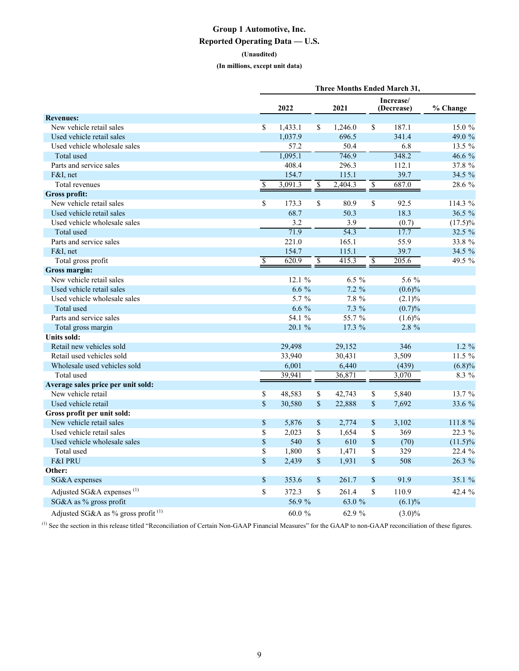## **Group 1 Automotive, Inc. Reported Operating Data — U.S.**

**(Unaudited)**

**(In millions, except unit data)**

|                                       |                          | 2022    |                          | 2021     |                          | Increase/<br>(Decrease) | % Change   |
|---------------------------------------|--------------------------|---------|--------------------------|----------|--------------------------|-------------------------|------------|
| <b>Revenues:</b>                      |                          |         |                          |          |                          |                         |            |
| New vehicle retail sales              | \$                       | 1,433.1 | \$                       | 1,246.0  | \$                       | 187.1                   | 15.0 %     |
| Used vehicle retail sales             |                          | 1,037.9 |                          | 696.5    |                          | 341.4                   | 49.0 %     |
| Used vehicle wholesale sales          |                          | 57.2    |                          | 50.4     |                          | 6.8                     | 13.5 %     |
| Total used                            |                          | 1,095.1 |                          | 746.9    |                          | 348.2                   | 46.6 %     |
| Parts and service sales               |                          | 408.4   |                          | 296.3    |                          | 112.1                   | 37.8 %     |
| $F&I$ , net                           |                          | 154.7   |                          | 115.1    |                          | 39.7                    | 34.5 %     |
| Total revenues                        | $\overline{\mathcal{S}}$ | 3,091.3 | $\overline{\mathcal{S}}$ | 2,404.3  | $\overline{\mathcal{S}}$ | 687.0                   | 28.6 %     |
| <b>Gross profit:</b>                  |                          |         |                          |          |                          |                         |            |
| New vehicle retail sales              | \$                       | 173.3   | \$                       | 80.9     | \$                       | 92.5                    | 114.3 %    |
| Used vehicle retail sales             |                          | 68.7    |                          | 50.3     |                          | 18.3                    | 36.5 %     |
| Used vehicle wholesale sales          |                          | 3.2     |                          | 3.9      |                          | (0.7)                   | $(17.5)\%$ |
| Total used                            |                          | 71.9    |                          | 54.3     |                          | 17.7                    | 32.5 %     |
| Parts and service sales               |                          | 221.0   |                          | 165.1    |                          | 55.9                    | 33.8 %     |
| $F&I$ , net                           |                          | 154.7   |                          | 115.1    |                          | 39.7                    | 34.5 %     |
| Total gross profit                    | $\overline{\mathcal{S}}$ | 620.9   | $\overline{\mathcal{S}}$ | 415.3    | $\overline{\$}$          | 205.6                   | 49.5 %     |
| Gross margin:                         |                          |         |                          |          |                          |                         |            |
| New vehicle retail sales              |                          | 12.1%   |                          | $6.5 \%$ |                          | 5.6 %                   |            |
| Used vehicle retail sales             |                          | $6.6\%$ |                          | $7.2 \%$ |                          | $(0.6)\%$               |            |
| Used vehicle wholesale sales          |                          | 5.7 %   |                          | 7.8 %    |                          | $(2.1)\%$               |            |
| Total used                            |                          | $6.6\%$ |                          | $7.3\%$  |                          | (0.7)%                  |            |
| Parts and service sales               |                          | 54.1 %  |                          | 55.7 %   |                          | $(1.6)\%$               |            |
| Total gross margin                    |                          | 20.1 %  |                          | 17.3 %   |                          | $2.8 \%$                |            |
| Units sold:                           |                          |         |                          |          |                          |                         |            |
| Retail new vehicles sold              |                          | 29,498  |                          | 29,152   |                          | 346                     | $1.2 \%$   |
| Retail used vehicles sold             |                          | 33,940  |                          | 30,431   |                          | 3,509                   | 11.5 %     |
| Wholesale used vehicles sold          |                          | 6,001   |                          | 6,440    |                          | (439)                   | (6.8)%     |
| Total used                            |                          | 39.941  |                          | 36,871   |                          | 3,070                   | $8.3\%$    |
| Average sales price per unit sold:    |                          |         |                          |          |                          |                         |            |
| New vehicle retail                    | \$                       | 48,583  | \$                       | 42,743   | \$                       | 5,840                   | 13.7 %     |
| Used vehicle retail                   | \$                       | 30,580  | \$                       | 22,888   | \$                       | 7,692                   | 33.6 %     |
| Gross profit per unit sold:           |                          |         |                          |          |                          |                         |            |
| New vehicle retail sales              | \$                       | 5,876   | $\$$                     | 2,774    | \$                       | 3,102                   | 111.8 %    |
| Used vehicle retail sales             | \$                       | 2,023   | \$                       | 1,654    | \$                       | 369                     | 22.3 %     |
| Used vehicle wholesale sales          | \$                       | 540     | $\sqrt{\frac{2}{5}}$     | 610      | $\sqrt{\frac{2}{5}}$     | (70)                    | $(11.5)\%$ |
| Total used                            | $\overline{\$}$          | 1,800   | \$                       | 1,471    | \$                       | 329                     | 22.4 %     |
| <b>F&amp;I PRU</b>                    | \$                       | 2,439   | \$                       | 1,931    | $\mathbf S$              | 508                     | 26.3 %     |
| Other:                                |                          |         |                          |          |                          |                         |            |
| SG&A expenses                         | \$                       | 353.6   | \$                       | 261.7    | \$                       | 91.9                    | 35.1 %     |
| Adjusted SG&A expenses <sup>(1)</sup> | \$                       | 372.3   | \$                       | 261.4    | \$                       | 110.9                   | 42.4 %     |
| SG&A as % gross profit                |                          | 56.9%   |                          | 63.0 %   |                          | $(6.1)\%$               |            |
| Adjusted SG&A as % gross profit $(1)$ |                          | 60.0%   |                          | 62.9 %   |                          | $(3.0)\%$               |            |

(1) See the section in this release titled "Reconciliation of Certain Non-GAAP Financial Measures" for the GAAP to non-GAAP reconciliation of these figures.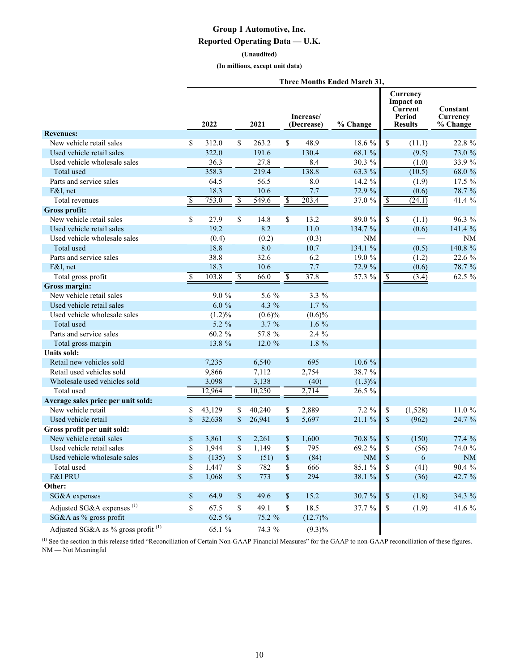## **Group 1 Automotive, Inc.**

#### **Reported Operating Data — U.K.**

#### **(Unaudited)**

**(In millions, except unit data)**

|  | <b>Three Months Ended March 31,</b> |  |  |  |
|--|-------------------------------------|--|--|--|
|--|-------------------------------------|--|--|--|

|                                          |    | 2022      |      | 2021      |                         | Increase/<br>(Decrease) | % Change  |                           | Currency<br><b>Impact on</b><br>Current<br>Period<br><b>Results</b> | Constant<br>Currency<br>% Change |
|------------------------------------------|----|-----------|------|-----------|-------------------------|-------------------------|-----------|---------------------------|---------------------------------------------------------------------|----------------------------------|
| <b>Revenues:</b>                         |    |           |      |           |                         |                         |           |                           |                                                                     |                                  |
| New vehicle retail sales                 | \$ | 312.0     | \$   | 263.2     | \$                      | 48.9                    | 18.6 %    | \$                        | (11.1)                                                              | 22.8 %                           |
| Used vehicle retail sales                |    | 322.0     |      | 191.6     |                         | 130.4                   | 68.1 %    |                           | (9.5)                                                               | 73.0 %                           |
| Used vehicle wholesale sales             |    | 36.3      |      | 27.8      |                         | 8.4                     | 30.3 %    |                           | (1.0)                                                               | 33.9 %                           |
| Total used                               |    | 358.3     |      | 219.4     |                         | 138.8                   | 63.3 %    |                           | (10.5)                                                              | 68.0 %                           |
| Parts and service sales                  |    | 64.5      |      | 56.5      |                         | 8.0                     | 14.2 %    |                           | (1.9)                                                               | 17.5 %                           |
| $F&I$ , net                              |    | 18.3      |      | 10.6      |                         | 7.7                     | 72.9 %    |                           | (0.6)                                                               | 78.7 %                           |
| Total revenues                           | \$ | 753.0     | \$   | 549.6     | $\overline{\mathbb{S}}$ | 203.4                   | 37.0 %    | \$                        | (24.1)                                                              | 41.4 %                           |
| <b>Gross profit:</b>                     |    |           |      |           |                         |                         |           |                           |                                                                     |                                  |
| New vehicle retail sales                 | \$ | 27.9      | \$   | 14.8      | \$                      | 13.2                    | 89.0 %    | \$                        | (1.1)                                                               | 96.3 %                           |
| Used vehicle retail sales                |    | 19.2      |      | 8.2       |                         | 11.0                    | 134.7 %   |                           | (0.6)                                                               | 141.4 %                          |
| Used vehicle wholesale sales             |    | (0.4)     |      | (0.2)     |                         | (0.3)                   | $\rm NM$  |                           |                                                                     | $\rm NM$                         |
| Total used                               |    | 18.8      |      | 8.0       |                         | 10.7                    | 134.1 %   |                           | (0.5)                                                               | 140.8 %                          |
| Parts and service sales                  |    | 38.8      |      | 32.6      |                         | 6.2                     | 19.0 %    |                           | (1.2)                                                               | 22.6 %                           |
| F&I, net                                 |    | 18.3      |      | 10.6      |                         | 7.7                     | 72.9 %    |                           | (0.6)                                                               | 78.7 %                           |
| Total gross profit                       | \$ | 103.8     | \$   | 66.0      | $\overline{\$}$         | 37.8                    | 57.3 %    | \$                        | (3.4)                                                               | 62.5 %                           |
| Gross margin:                            |    |           |      |           |                         |                         |           |                           |                                                                     |                                  |
| New vehicle retail sales                 |    | $9.0\%$   |      | 5.6 %     |                         | 3.3 %                   |           |                           |                                                                     |                                  |
| Used vehicle retail sales                |    | $6.0 \%$  |      | 4.3 %     |                         | $1.7\%$                 |           |                           |                                                                     |                                  |
| Used vehicle wholesale sales             |    | $(1.2)\%$ |      | $(0.6)\%$ |                         | $(0.6)\%$               |           |                           |                                                                     |                                  |
| Total used                               |    | 5.2 %     |      | $3.7 \%$  |                         | $1.6\%$                 |           |                           |                                                                     |                                  |
| Parts and service sales                  |    | 60.2 %    |      | 57.8 %    |                         | $2.4\%$                 |           |                           |                                                                     |                                  |
| Total gross margin                       |    | 13.8 %    |      | 12.0 %    |                         | 1.8 %                   |           |                           |                                                                     |                                  |
| Units sold:                              |    |           |      |           |                         |                         |           |                           |                                                                     |                                  |
| Retail new vehicles sold                 |    | 7,235     |      | 6,540     |                         | 695                     | 10.6 %    |                           |                                                                     |                                  |
| Retail used vehicles sold                |    | 9,866     |      | 7,112     |                         | 2,754                   | 38.7 %    |                           |                                                                     |                                  |
| Wholesale used vehicles sold             |    | 3,098     |      | 3,138     |                         | (40)                    | $(1.3)\%$ |                           |                                                                     |                                  |
| Total used                               |    | 12,964    |      | 10,250    |                         | 2,714                   | 26.5 %    |                           |                                                                     |                                  |
| Average sales price per unit sold:       |    |           |      |           |                         |                         |           |                           |                                                                     |                                  |
| New vehicle retail                       | \$ | 43,129    | \$   | 40,240    | \$                      | 2,889                   | $7.2 \%$  | \$                        | (1,528)                                                             | 11.0%                            |
| Used vehicle retail                      | \$ | 32,638    | \$   | 26,941    | \$                      | 5,697                   | 21.1 %    | \$                        | (962)                                                               | 24.7 %                           |
| Gross profit per unit sold:              |    |           |      |           |                         |                         |           |                           |                                                                     |                                  |
| New vehicle retail sales                 | \$ | 3,861     | \$   | 2,261     | \$                      | 1,600                   | 70.8 %    | \$                        | (150)                                                               | 77.4 %                           |
| Used vehicle retail sales                | \$ | 1,944     | \$   | 1,149     | \$                      | 795                     | 69.2 %    | \$                        | (56)                                                                | 74.0 %                           |
| Used vehicle wholesale sales             | \$ | (135)     | $\$$ | (51)      | \$                      | (84)                    | NM        | \$                        | 6                                                                   | $\rm NM$                         |
| Total used                               | ፍ  | 1,447     | ፍ    | 782       | \$                      | 666                     | 85.1%     | \$                        | (41)                                                                | 90.4 %                           |
| <b>F&amp;I PRU</b>                       | \$ | 1,068     | \$   | 773       | \$                      | 294                     | 38.1 %    | $\$$                      | (36)                                                                | 42.7 %                           |
| Other:                                   |    |           |      |           |                         |                         |           |                           |                                                                     |                                  |
| SG&A expenses                            | \$ | 64.9      | \$   | 49.6      | \$                      | 15.2                    | 30.7 %    | $\boldsymbol{\mathsf{S}}$ | (1.8)                                                               | 34.3 %                           |
| Adjusted SG&A expenses $(1)$             | \$ | 67.5      | \$   | 49.1      | \$                      | 18.5                    | 37.7 %    | \$                        | (1.9)                                                               | 41.6 %                           |
| SG&A as % gross profit                   |    | 62.5 %    |      | 75.2 %    |                         | $(12.7)\%$              |           |                           |                                                                     |                                  |
| Adjusted SG&A as % gross profit $^{(1)}$ |    | 65.1 %    |      | 74.3 %    |                         | $(9.3)\%$               |           |                           |                                                                     |                                  |

 $^{(1)}$  See the section in this release titled "Reconciliation of Certain Non-GAAP Financial Measures" for the GAAP to non-GAAP reconciliation of these figures. NM — Not Meaningful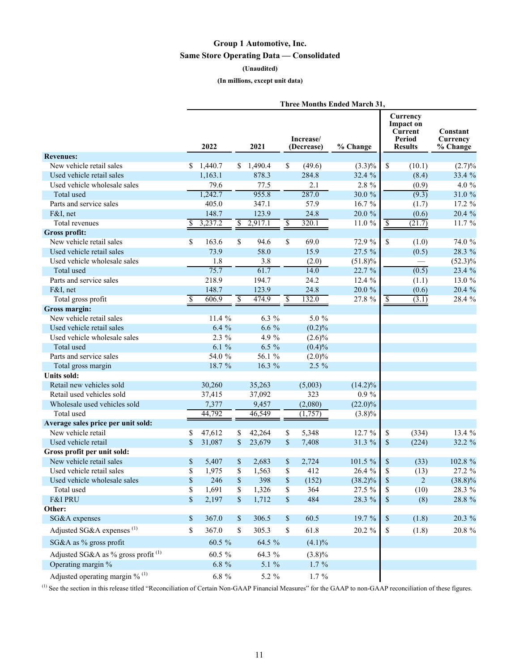## **Group 1 Automotive, Inc. Same Store Operating Data — Consolidated**

#### **(Unaudited)**

#### **(In millions, except unit data)**

|                                              | Three Months Ended March 31, |          |    |          |                         |                         |            |              |                                                              |                                  |
|----------------------------------------------|------------------------------|----------|----|----------|-------------------------|-------------------------|------------|--------------|--------------------------------------------------------------|----------------------------------|
|                                              |                              | 2022     |    | 2021     |                         | Increase/<br>(Decrease) | % Change   |              | Currency<br>Impact on<br>Current<br>Period<br><b>Results</b> | Constant<br>Currency<br>% Change |
| <b>Revenues:</b>                             |                              |          |    |          |                         |                         |            |              |                                                              |                                  |
| New vehicle retail sales                     | S.                           | 1,440.7  | \$ | 1,490.4  | \$                      | (49.6)                  | $(3.3)\%$  | \$           | (10.1)                                                       | (2.7)%                           |
| Used vehicle retail sales                    |                              | 1,163.1  |    | 878.3    |                         | 284.8                   | 32.4 %     |              | (8.4)                                                        | 33.4 %                           |
| Used vehicle wholesale sales                 |                              | 79.6     |    | 77.5     |                         | 2.1                     | 2.8 %      |              | (0.9)                                                        | 4.0 %                            |
| Total used                                   |                              | 1,242.7  |    | 955.8    |                         | 287.0                   | 30.0 %     |              | (9.3)                                                        | 31.0%                            |
| Parts and service sales                      |                              | 405.0    |    | 347.1    |                         | 57.9                    | 16.7%      |              | (1.7)                                                        | 17.2 %                           |
| F&I, net                                     |                              | 148.7    |    | 123.9    |                         | 24.8                    | 20.0 %     |              | (0.6)                                                        | 20.4 %                           |
| Total revenues                               | S                            | 3,237.2  | \$ | 2,917.1  | $\overline{\mathbb{S}}$ | 320.1                   | 11.0 %     | \$           | (21.7)                                                       | 11.7%                            |
| Gross profit:                                |                              |          |    |          |                         |                         |            |              |                                                              |                                  |
| New vehicle retail sales                     | \$                           | 163.6    | \$ | 94.6     | \$                      | 69.0                    | 72.9 %     | \$           | (1.0)                                                        | 74.0 %                           |
| Used vehicle retail sales                    |                              | 73.9     |    | 58.0     |                         | 15.9                    | 27.5 %     |              | (0.5)                                                        | 28.3 %                           |
| Used vehicle wholesale sales                 |                              | 1.8      |    | 3.8      |                         | (2.0)                   | $(51.8)\%$ |              |                                                              | $(52.3)\%$                       |
| Total used                                   |                              | 75.7     |    | 61.7     |                         | 14.0                    | 22.7 %     |              | (0.5)                                                        | 23.4 %                           |
| Parts and service sales                      |                              | 218.9    |    | 194.7    |                         | 24.2                    | 12.4 %     |              | (1.1)                                                        | 13.0 %                           |
| F&I, net                                     |                              | 148.7    |    | 123.9    |                         | 24.8                    | 20.0 %     |              | (0.6)                                                        | 20.4 %                           |
| Total gross profit                           | \$                           | 606.9    | \$ | 474.9    | $\overline{\$}$         | 132.0                   | 27.8 %     | \$           | (3.1)                                                        | 28.4 %                           |
| Gross margin:                                |                              |          |    |          |                         |                         |            |              |                                                              |                                  |
| New vehicle retail sales                     |                              | 11.4 %   |    | 6.3 %    |                         | 5.0 %                   |            |              |                                                              |                                  |
| Used vehicle retail sales                    |                              | 6.4%     |    | $6.6\%$  |                         | $(0.2)\%$               |            |              |                                                              |                                  |
| Used vehicle wholesale sales                 |                              | $2.3\%$  |    | 4.9 %    |                         | $(2.6)\%$               |            |              |                                                              |                                  |
| Total used                                   |                              | 6.1%     |    | $6.5 \%$ |                         | $(0.4)\%$               |            |              |                                                              |                                  |
| Parts and service sales                      |                              | 54.0 %   |    | 56.1 %   |                         | $(2.0)\%$               |            |              |                                                              |                                  |
| Total gross margin                           |                              | 18.7 %   |    | 16.3 %   |                         | 2.5 %                   |            |              |                                                              |                                  |
| Units sold:                                  |                              |          |    |          |                         |                         |            |              |                                                              |                                  |
| Retail new vehicles sold                     |                              | 30,260   |    | 35,263   |                         | (5,003)                 | $(14.2)\%$ |              |                                                              |                                  |
| Retail used vehicles sold                    |                              |          |    | 37,092   |                         | 323                     | $0.9\%$    |              |                                                              |                                  |
|                                              |                              | 37,415   |    |          |                         |                         |            |              |                                                              |                                  |
| Wholesale used vehicles sold                 |                              | 7,377    |    | 9,457    |                         | (2,080)                 | $(22.0)\%$ |              |                                                              |                                  |
| Total used                                   |                              | 44,792   |    | 46,549   |                         | (1,757)                 | $(3.8)\%$  |              |                                                              |                                  |
| Average sales price per unit sold:           |                              |          |    |          |                         |                         |            |              |                                                              |                                  |
| New vehicle retail                           | S                            | 47,612   | \$ | 42,264   | \$                      | 5,348                   | 12.7 %     | \$           | (334)                                                        | 13.4 %                           |
| Used vehicle retail                          | $\mathbf{s}$                 | 31,087   | \$ | 23,679   | \$                      | 7,408                   | 31.3 %     | \$           | (224)                                                        | 32.2 %                           |
| Gross profit per unit sold:                  |                              |          |    |          |                         |                         |            |              |                                                              |                                  |
| New vehicle retail sales                     | \$                           | 5,407    | \$ | 2,683    | \$                      | 2,724                   | 101.5 %    | \$           | (33)                                                         | 102.8 %                          |
| Used vehicle retail sales                    | \$                           | 1,975    | \$ | 1,563    | \$                      | 412                     | 26.4 %     | \$           | (13)                                                         | 27.2 %                           |
| Used vehicle wholesale sales                 | \$                           | 246      | \$ | 398      | \$                      | (152)                   | $(38.2)\%$ | \$           | $\overline{c}$                                               | $(38.8)\%$                       |
| Total used                                   | \$                           | 1,691    | \$ | 1,326    | \$                      | 364                     | 27.5 %     | \$           | (10)                                                         | 28.3 %                           |
| F&I PRU                                      | \$                           | 2,197    | \$ | 1,712    | \$                      | 484                     | 28.3 %     | $\mathbb{S}$ | (8)                                                          | 28.8 %                           |
| Other:                                       |                              |          |    |          |                         |                         |            |              |                                                              |                                  |
| SG&A expenses                                | \$                           | 367.0    | \$ | 306.5    | \$                      | 60.5                    | 19.7 %     | $\mathbb S$  | (1.8)                                                        | 20.3 %                           |
| Adjusted SG&A expenses <sup>(1)</sup>        | \$                           | 367.0    | \$ | 305.3    | \$                      | 61.8                    | 20.2 %     | \$           | (1.8)                                                        | $20.8~\%$                        |
| SG&A as % gross profit                       |                              | 60.5 %   |    | 64.5 %   |                         | $(4.1)\%$               |            |              |                                                              |                                  |
| Adjusted SG&A as % gross profit $^{(1)}$     |                              | 60.5 %   |    | 64.3 %   |                         | $(3.8)\%$               |            |              |                                                              |                                  |
| Operating margin %                           |                              | $6.8~\%$ |    | 5.1 %    |                         | $1.7\%$                 |            |              |                                                              |                                  |
| Adjusted operating margin $%$ <sup>(1)</sup> |                              | $6.8~\%$ |    | 5.2 %    |                         | $1.7~\%$                |            |              |                                                              |                                  |

(1) See the section in this release titled "Reconciliation of Certain Non-GAAP Financial Measures" for the GAAP to non-GAAP reconciliation of these figures.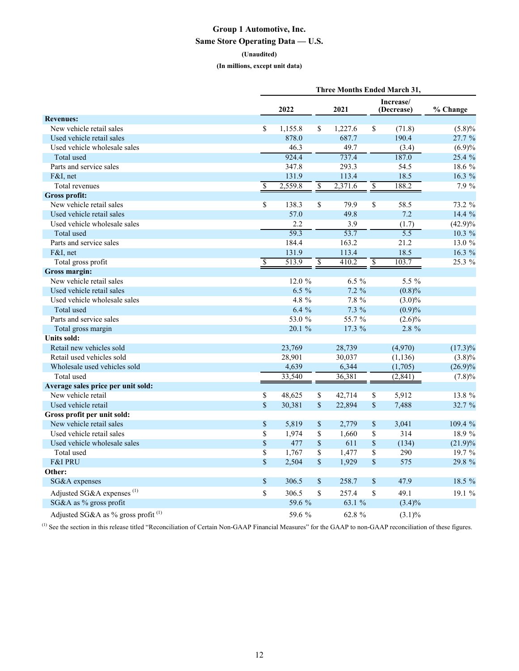## **Group 1 Automotive, Inc. Same Store Operating Data — U.S.**

#### **(Unaudited)**

**(In millions, except unit data)**

|                                                |                          |          |                          |          |                          | <b>Three Months Ended March 31,</b> |            |
|------------------------------------------------|--------------------------|----------|--------------------------|----------|--------------------------|-------------------------------------|------------|
|                                                |                          | 2022     |                          | 2021     |                          | Increase/<br>(Decrease)             | % Change   |
| <b>Revenues:</b>                               |                          |          |                          |          |                          |                                     |            |
| New vehicle retail sales                       | $\overline{\mathcal{S}}$ | 1,155.8  | \$                       | 1,227.6  | \$                       | (71.8)                              | (5.8)%     |
| Used vehicle retail sales                      |                          | 878.0    |                          | 687.7    |                          | 190.4                               | 27.7 %     |
| Used vehicle wholesale sales                   |                          | 46.3     |                          | 49.7     |                          | (3.4)                               | (6.9)%     |
| Total used                                     |                          | 924.4    |                          | 737.4    |                          | 187.0                               | 25.4 %     |
| Parts and service sales                        |                          | 347.8    |                          | 293.3    |                          | 54.5                                | 18.6 %     |
| $F&I$ , net                                    |                          | 131.9    |                          | 113.4    |                          | 18.5                                | 16.3 %     |
| Total revenues                                 | \$                       | 2,559.8  | $\overline{\mathcal{S}}$ | 2,371.6  | $\overline{\mathcal{S}}$ | 188.2                               | 7.9 %      |
| <b>Gross profit:</b>                           |                          |          |                          |          |                          |                                     |            |
| New vehicle retail sales                       | $\overline{\mathcal{S}}$ | 138.3    | \$                       | 79.9     | \$                       | 58.5                                | 73.2 %     |
| Used vehicle retail sales                      |                          | 57.0     |                          | 49.8     |                          | 7.2                                 | 14.4 %     |
| Used vehicle wholesale sales                   |                          | 2.2      |                          | 3.9      |                          | (1.7)                               | $(42.9)\%$ |
| Total used                                     |                          | 59.3     |                          | 53.7     |                          | $\overline{5.5}$                    | $10.3\%$   |
| Parts and service sales                        |                          | 184.4    |                          | 163.2    |                          | 21.2                                | 13.0 %     |
| $F&I$ , net                                    |                          | 131.9    |                          | 113.4    |                          | 18.5                                | 16.3 %     |
| Total gross profit                             | \$                       | 513.9    | $\overline{\mathcal{S}}$ | 410.2    | $\overline{\mathbb{S}}$  | 103.7                               | 25.3 %     |
| Gross margin:                                  |                          |          |                          |          |                          |                                     |            |
| New vehicle retail sales                       |                          | 12.0 %   |                          | $6.5\%$  |                          | $5.5\%$                             |            |
| Used vehicle retail sales                      |                          | $6.5 \%$ |                          | $7.2 \%$ |                          | $(0.8)\%$                           |            |
| Used vehicle wholesale sales                   |                          | 4.8 %    |                          | 7.8 %    |                          | $(3.0)\%$                           |            |
| Total used                                     |                          | 6.4%     |                          | $7.3\%$  |                          | (0.9)%                              |            |
| Parts and service sales                        |                          | 53.0 %   |                          | 55.7 %   |                          | $(2.6)\%$                           |            |
| Total gross margin                             |                          | 20.1 %   |                          | 17.3 %   |                          | 2.8 %                               |            |
| Units sold:                                    |                          |          |                          |          |                          |                                     |            |
| Retail new vehicles sold                       |                          | 23,769   |                          | 28,739   |                          | (4,970)                             | $(17.3)\%$ |
| Retail used vehicles sold                      |                          | 28,901   |                          | 30,037   |                          | (1, 136)                            | $(3.8)\%$  |
| Wholesale used vehicles sold                   |                          | 4,639    |                          | 6,344    |                          | (1,705)                             | $(26.9)\%$ |
| Total used                                     |                          | 33,540   |                          | 36,381   |                          | (2, 841)                            | $(7.8)\%$  |
| Average sales price per unit sold:             |                          |          |                          |          |                          |                                     |            |
| New vehicle retail                             | \$                       | 48,625   | \$                       | 42,714   | \$                       | 5,912                               | 13.8 %     |
| Used vehicle retail                            | $\sqrt{\frac{2}{5}}$     | 30,381   | \$                       | 22,894   | $\sqrt{\frac{2}{5}}$     | 7,488                               | 32.7 %     |
| Gross profit per unit sold:                    |                          |          |                          |          |                          |                                     |            |
| New vehicle retail sales                       | $\$$                     | 5,819    | \$                       | 2,779    | \$                       | 3,041                               | 109.4 %    |
| Used vehicle retail sales                      | \$                       | 1,974    | \$                       | 1,660    | \$                       | 314                                 | 18.9 %     |
| Used vehicle wholesale sales                   | $\sqrt{\frac{2}{5}}$     | 477      | \$                       | 611      | $\sqrt{\frac{2}{5}}$     | (134)                               | (21.9)%    |
| Total used                                     | $\overline{\mathbb{S}}$  | 1,767    | \$                       | 1,477    | $\overline{\$}$          | 290                                 | 19.7 %     |
| <b>F&amp;I PRU</b>                             | $\sqrt{\frac{2}{5}}$     | 2,504    | \$                       | 1,929    | $\mathbf{\hat{S}}$       | 575                                 | 29.8 %     |
| Other:                                         |                          |          |                          |          |                          |                                     |            |
| SG&A expenses                                  | $\mathbb S$              | 306.5    | \$                       | 258.7    | \$                       | 47.9                                | 18.5 %     |
| Adjusted SG&A expenses <sup>(1)</sup>          | \$                       | 306.5    | \$                       | 257.4    | \$                       | 49.1                                | 19.1 %     |
| SG&A as % gross profit                         |                          | 59.6 %   |                          | 63.1 %   |                          | $(3.4)\%$                           |            |
| Adjusted SG&A as % gross profit <sup>(1)</sup> |                          | 59.6 %   |                          | 62.8 %   |                          | $(3.1)\%$                           |            |

(1) See the section in this release titled "Reconciliation of Certain Non-GAAP Financial Measures" for the GAAP to non-GAAP reconciliation of these figures.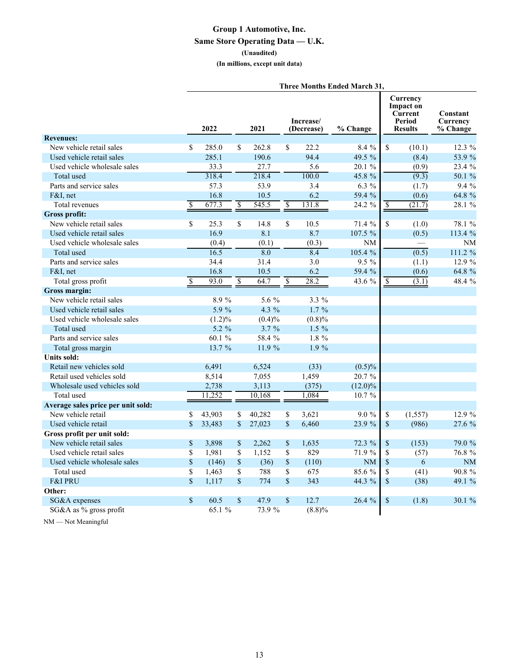## **Group 1 Automotive, Inc. Same Store Operating Data — U.K. (Unaudited) (In millions, except unit data)**

|                                    |                         |          |                         |        |                         |                         | <b>Three Months Ended March 31,</b> |                 |                                                                     |                                  |
|------------------------------------|-------------------------|----------|-------------------------|--------|-------------------------|-------------------------|-------------------------------------|-----------------|---------------------------------------------------------------------|----------------------------------|
|                                    |                         | 2022     |                         | 2021   |                         | Increase/<br>(Decrease) | % Change                            |                 | Currency<br><b>Impact on</b><br>Current<br>Period<br><b>Results</b> | Constant<br>Currency<br>% Change |
| <b>Revenues:</b>                   |                         |          |                         |        |                         |                         |                                     |                 |                                                                     |                                  |
| New vehicle retail sales           | S.                      | 285.0    | \$                      | 262.8  | \$                      | 22.2                    | 8.4%                                | \$              | (10.1)                                                              | $12.3\%$                         |
| Used vehicle retail sales          |                         | 285.1    |                         | 190.6  |                         | 94.4                    | 49.5 %                              |                 | (8.4)                                                               | 53.9 %                           |
| Used vehicle wholesale sales       |                         | 33.3     |                         | 27.7   |                         | 5.6                     | 20.1%                               |                 | (0.9)                                                               | 23.4 %                           |
| Total used                         |                         | 318.4    |                         | 218.4  |                         | 100.0                   | 45.8 %                              |                 | (9.3)                                                               | 50.1 %                           |
| Parts and service sales            |                         | 57.3     |                         | 53.9   |                         | 3.4                     | $6.3\%$                             |                 | (1.7)                                                               | $9.4\%$                          |
| F&I. net                           |                         | 16.8     |                         | 10.5   |                         | 6.2                     | 59.4 %                              |                 | (0.6)                                                               | 64.8 %                           |
| Total revenues                     | \$                      | 677.3    | \$                      | 545.5  | $\overline{\mathbb{S}}$ | 131.8                   | $24.2\%$                            | \$              | (21.7)                                                              | 28.1 %                           |
| <b>Gross profit:</b>               |                         |          |                         |        |                         |                         |                                     |                 |                                                                     |                                  |
| New vehicle retail sales           | S.                      | 25.3     | \$                      | 14.8   | \$                      | 10.5                    | 71.4%                               | \$              | (1.0)                                                               | 78.1 %                           |
| Used vehicle retail sales          |                         | 16.9     |                         | 8.1    |                         | 8.7                     | 107.5 %                             |                 | (0.5)                                                               | 113.4 %                          |
| Used vehicle wholesale sales       |                         | (0.4)    |                         | (0.1)  |                         | (0.3)                   | <b>NM</b>                           |                 |                                                                     | NM                               |
| Total used                         |                         | 16.5     |                         | 8.0    |                         | 8.4                     | 105.4 %                             |                 | (0.5)                                                               | 111.2 %                          |
| Parts and service sales            |                         | 34.4     |                         | 31.4   |                         | 3.0                     | $9.5\%$                             |                 | (1.1)                                                               | 12.9 %                           |
| $F&I$ , net                        |                         | 16.8     |                         | 10.5   |                         | 6.2                     | 59.4 %                              |                 | (0.6)                                                               | 64.8 %                           |
| Total gross profit                 | <sup>\$</sup>           | 93.0     | \$                      | 64.7   | \$                      | 28.2                    | 43.6 %                              | \$              | (3.1)                                                               | 48.4 %                           |
| Gross margin:                      |                         |          |                         |        |                         |                         |                                     |                 |                                                                     |                                  |
| New vehicle retail sales           |                         | 8.9%     |                         | 5.6 %  |                         | $3.3\%$                 |                                     |                 |                                                                     |                                  |
| Used vehicle retail sales          |                         | 5.9 %    |                         | 4.3 %  |                         | $1.7\%$                 |                                     |                 |                                                                     |                                  |
| Used vehicle wholesale sales       |                         | (1.2)%   |                         | (0.4)% |                         | (0.8)%                  |                                     |                 |                                                                     |                                  |
| Total used                         |                         | $5.2 \%$ |                         | 3.7%   |                         | $1.5\%$                 |                                     |                 |                                                                     |                                  |
| Parts and service sales            |                         | 60.1 %   |                         | 58.4 % |                         | $1.8\%$                 |                                     |                 |                                                                     |                                  |
| Total gross margin                 |                         | 13.7 %   |                         | 11.9 % |                         | $1.9\%$                 |                                     |                 |                                                                     |                                  |
| Units sold:                        |                         |          |                         |        |                         |                         |                                     |                 |                                                                     |                                  |
| Retail new vehicles sold           |                         | 6,491    |                         | 6,524  |                         | (33)                    | $(0.5)\%$                           |                 |                                                                     |                                  |
| Retail used vehicles sold          |                         | 8,514    |                         | 7,055  |                         | 1,459                   | 20.7 %                              |                 |                                                                     |                                  |
| Wholesale used vehicles sold       |                         | 2,738    |                         | 3,113  |                         | (375)                   | $(12.0)\%$                          |                 |                                                                     |                                  |
| Total used                         |                         | 11,252   |                         | 10,168 |                         | 1,084                   | 10.7 %                              |                 |                                                                     |                                  |
| Average sales price per unit sold: |                         |          |                         |        |                         |                         |                                     |                 |                                                                     |                                  |
| New vehicle retail                 | \$                      | 43,903   | \$                      | 40,282 | \$                      | 3,621                   | $9.0\%$                             | \$              | (1, 557)                                                            | 12.9%                            |
| Used vehicle retail                | $\mathbf{\hat{s}}$      | 33,483   | $\sqrt{\frac{2}{5}}$    | 27,023 | $\sqrt{\frac{2}{5}}$    | 6,460                   | 23.9 %                              | \$              | (986)                                                               | 27.6 %                           |
| Gross profit per unit sold:        |                         |          |                         |        |                         |                         |                                     |                 |                                                                     |                                  |
| New vehicle retail sales           | $\mathbb{S}$            | 3,898    | \$                      | 2,262  | \$                      | 1,635                   | 72.3 %                              | \$              | (153)                                                               | 79.0 %                           |
| Used vehicle retail sales          | $\overline{\mathbb{S}}$ | 1,981    | $\overline{\mathbb{S}}$ | 1,152  | $\overline{\mathbb{S}}$ | 829                     | 71.9 %                              | $\overline{\$}$ | (57)                                                                | 76.8 %                           |
| Used vehicle wholesale sales       | \$                      | (146)    | $\mathbb S$             | (36)   | $\mathbb S$             | (110)                   | <b>NM</b>                           | \$              | 6                                                                   | <b>NM</b>                        |
| Total used                         | \$                      | 1,463    | \$                      | 788    | \$                      | 675                     | 85.6 %                              | \$              | (41)                                                                | 90.8 %                           |
| <b>F&amp;I PRU</b>                 | $\mathbf S$             | 1,117    | $\mathbf S$             | 774    | $\mathbf S$             | 343                     | 44.3 %                              | \$              | (38)                                                                | 49.1 %                           |
| Other:                             |                         |          |                         |        |                         |                         |                                     |                 |                                                                     |                                  |
| SG&A expenses                      | $\mathbf{s}$            | 60.5     | $\mathbf{s}$            | 47.9   | $\mathbf S$             | 12.7                    | 26.4%                               | \$              | (1.8)                                                               | 30.1 %                           |
| SG&A as % gross profit             |                         | 65.1%    |                         | 73.9 % |                         | (8.8)%                  |                                     |                 |                                                                     |                                  |

NM — Not Meaningful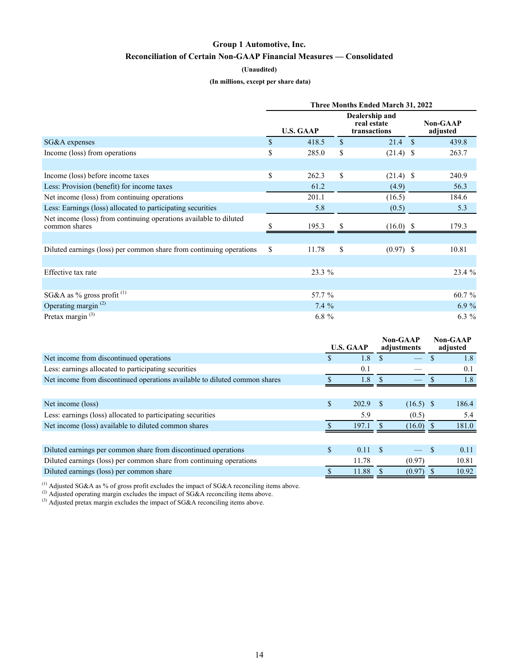## **Group 1 Automotive, Inc. Reconciliation of Certain Non-GAAP Financial Measures — Consolidated**

#### **(Unaudited)**

#### **(In millions, except per share data)**

|                                                                                    | Three Months Ended March 31, 2022 |                  |                                               |             |  |                             |  |  |  |
|------------------------------------------------------------------------------------|-----------------------------------|------------------|-----------------------------------------------|-------------|--|-----------------------------|--|--|--|
|                                                                                    |                                   | <b>U.S. GAAP</b> | Dealership and<br>real estate<br>transactions |             |  | <b>Non-GAAP</b><br>adjusted |  |  |  |
| SG&A expenses                                                                      | $\mathbf S$                       | 418.5            | $\mathbf{s}$                                  | $21.4$ \$   |  | 439.8                       |  |  |  |
| Income (loss) from operations                                                      | \$                                | 285.0            | \$                                            | $(21.4)$ \$ |  | 263.7                       |  |  |  |
|                                                                                    |                                   |                  |                                               |             |  |                             |  |  |  |
| Income (loss) before income taxes                                                  | \$                                | 262.3            | \$                                            | $(21.4)$ \$ |  | 240.9                       |  |  |  |
| Less: Provision (benefit) for income taxes                                         |                                   | 61.2             |                                               | (4.9)       |  | 56.3                        |  |  |  |
| Net income (loss) from continuing operations                                       |                                   | 201.1            |                                               | (16.5)      |  | 184.6                       |  |  |  |
| Less: Earnings (loss) allocated to participating securities                        |                                   | 5.8              |                                               | (0.5)       |  | 5.3                         |  |  |  |
| Net income (loss) from continuing operations available to diluted<br>common shares |                                   | 195.3            |                                               | $(16.0)$ \$ |  | 179.3                       |  |  |  |
|                                                                                    |                                   |                  |                                               |             |  |                             |  |  |  |
| Diluted earnings (loss) per common share from continuing operations                | \$                                | 11.78            | \$                                            | $(0.97)$ \$ |  | 10.81                       |  |  |  |
|                                                                                    |                                   |                  |                                               |             |  |                             |  |  |  |
| Effective tax rate                                                                 |                                   | 23.3 %           |                                               |             |  | 23.4 %                      |  |  |  |
|                                                                                    |                                   |                  |                                               |             |  |                             |  |  |  |
| SG&A as % gross profit $(1)$                                                       |                                   | 57.7 %           |                                               |             |  | 60.7 %                      |  |  |  |
| Operating margin $(2)$                                                             |                                   | $7.4\%$          |                                               |             |  | 6.9%                        |  |  |  |
| Pretax margin <sup>(3)</sup>                                                       |                                   | 6.8 $%$          |                                               |             |  | $6.3 \%$                    |  |  |  |

|                                                                            | <b>U.S. GAAP</b>   |    | Non-GAAP<br>adjustments  | Non-GAAP<br>adjusted |
|----------------------------------------------------------------------------|--------------------|----|--------------------------|----------------------|
| Net income from discontinued operations                                    | \$<br>1.8          |    |                          | 1.8                  |
| Less: earnings allocated to participating securities                       | 0.1                |    |                          | 0.1                  |
| Net income from discontinued operations available to diluted common shares | 1.8                |    |                          | 1.8                  |
|                                                                            |                    |    |                          |                      |
| Net income (loss)                                                          | \$<br>202.9        | -S | $(16.5)$ \$              | 186.4                |
| Less: earnings (loss) allocated to participating securities                | 5.9                |    | (0.5)                    | 5.4                  |
| Net income (loss) available to diluted common shares                       | 197.1              |    | $(16.0)$ \$              | 181.0                |
|                                                                            |                    |    |                          |                      |
| Diluted earnings per common share from discontinued operations             | \$<br>$0.11 \,$ \$ |    | $\overline{\phantom{0}}$ | 0.11                 |
| Diluted earnings (loss) per common share from continuing operations        | 11.78              |    | (0.97)                   | 10.81                |
| Diluted earnings (loss) per common share                                   | 11.88              |    | (0.97)                   | 10.92                |

<sup>(1)</sup> Adjusted SG&A as % of gross profit excludes the impact of SG&A reconciling items above.

<sup>(2)</sup> Adjusted operating margin excludes the impact of SG&A reconciling items above.

 $^{(3)}$  Adjusted pretax margin excludes the impact of SG&A reconciling items above.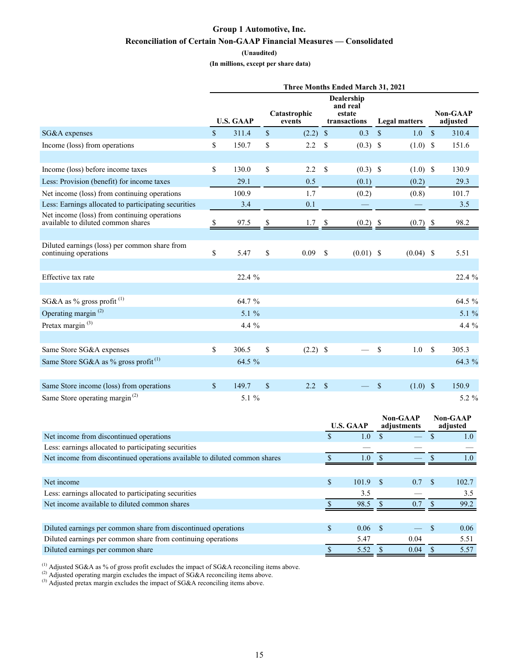## **Group 1 Automotive, Inc. Reconciliation of Certain Non-GAAP Financial Measures — Consolidated**

#### **(Unaudited)**

 **(In millions, except per share data)**

|                                                                                    | Three Months Ended March 31, 2021 |                  |             |                        |               |                                                  |               |                      |              |                             |
|------------------------------------------------------------------------------------|-----------------------------------|------------------|-------------|------------------------|---------------|--------------------------------------------------|---------------|----------------------|--------------|-----------------------------|
|                                                                                    |                                   | <b>U.S. GAAP</b> |             | Catastrophic<br>events |               | Dealership<br>and real<br>estate<br>transactions |               | <b>Legal matters</b> |              | <b>Non-GAAP</b><br>adjusted |
| SG&A expenses                                                                      | $\mathbf S$                       | 311.4            | $\mathbf S$ | $(2.2)$ \$             |               | 0.3                                              | $\mathcal{S}$ | 1.0                  | $\mathbb{S}$ | 310.4                       |
| Income (loss) from operations                                                      | \$                                | 150.7            | \$          | 2.2                    | $\mathcal{S}$ | $(0.3)$ \$                                       |               | $(1.0)$ \$           |              | 151.6                       |
|                                                                                    |                                   |                  |             |                        |               |                                                  |               |                      |              |                             |
| Income (loss) before income taxes                                                  | \$                                | 130.0            | \$          | 2.2                    | \$            | $(0.3)$ \$                                       |               | $(1.0)$ \$           |              | 130.9                       |
| Less: Provision (benefit) for income taxes                                         |                                   | 29.1             |             | 0.5                    |               | (0.1)                                            |               | (0.2)                |              | 29.3                        |
| Net income (loss) from continuing operations                                       |                                   | 100.9            |             | 1.7                    |               | (0.2)                                            |               | (0.8)                |              | 101.7                       |
| Less: Earnings allocated to participating securities                               |                                   | 3.4              |             | 0.1                    |               |                                                  |               |                      |              | 3.5                         |
| Net income (loss) from continuing operations<br>available to diluted common shares | \$                                | 97.5             | \$          | 1.7                    |               | $(0.2)$ \$                                       |               | $(0.7)$ \$           |              | 98.2                        |
|                                                                                    |                                   |                  |             |                        |               |                                                  |               |                      |              |                             |
| Diluted earnings (loss) per common share from<br>continuing operations             | \$                                | 5.47             | \$          | 0.09                   | <sup>\$</sup> | $(0.01)$ \$                                      |               | $(0.04)$ \$          |              | 5.51                        |
|                                                                                    |                                   |                  |             |                        |               |                                                  |               |                      |              |                             |
| Effective tax rate                                                                 |                                   | 22.4 %           |             |                        |               |                                                  |               |                      |              | 22.4 %                      |
|                                                                                    |                                   |                  |             |                        |               |                                                  |               |                      |              |                             |
| SG&A as % gross profit <sup>(1)</sup>                                              |                                   | 64.7 %           |             |                        |               |                                                  |               |                      |              | 64.5 %                      |
| Operating margin <sup>(2)</sup>                                                    |                                   | 5.1 $%$          |             |                        |               |                                                  |               |                      |              | 5.1 %                       |
| Pretax margin $^{(3)}$                                                             |                                   | 4.4 $%$          |             |                        |               |                                                  |               |                      |              | 4.4 %                       |
|                                                                                    |                                   |                  |             |                        |               |                                                  |               |                      |              |                             |
| Same Store SG&A expenses                                                           | \$                                | 306.5            | \$          | $(2.2)$ \$             |               |                                                  | $\mathcal{S}$ | 1.0                  | $\mathbb{S}$ | 305.3                       |
| Same Store SG&A as % gross profit <sup>(1)</sup>                                   |                                   | 64.5 %           |             |                        |               |                                                  |               |                      |              | 64.3 %                      |
|                                                                                    |                                   |                  |             |                        |               |                                                  |               |                      |              |                             |
| Same Store income (loss) from operations                                           | \$                                | 149.7            | $\mathbf S$ | 2.2                    | $\mathbf{s}$  |                                                  | <sup>\$</sup> | $(1.0)$ \$           |              | 150.9                       |
| Same Store operating margin <sup>(2)</sup>                                         |                                   | 5.1 %            |             |                        |               |                                                  |               |                      |              | 5.2 %                       |

|                                                                            |    | <b>U.S. GAAP</b> | <b>Non-GAAP</b><br>adjustments |    | <b>Non-GAAP</b><br>adjusted |
|----------------------------------------------------------------------------|----|------------------|--------------------------------|----|-----------------------------|
| Net income from discontinued operations                                    | S  | 1.0              |                                |    | 1.0                         |
| Less: earnings allocated to participating securities                       |    |                  |                                |    |                             |
| Net income from discontinued operations available to diluted common shares |    | 1.0              |                                |    | $1.0\,$                     |
|                                                                            |    |                  |                                |    |                             |
| Net income                                                                 | \$ | $101.9$ \$       | 0.7                            | -S | 102.7                       |
| Less: earnings allocated to participating securities                       |    | 3.5              |                                |    | 3.5                         |
| Net income available to diluted common shares                              |    | 98.5             | 0.7                            |    | 99.2                        |
|                                                                            |    |                  |                                |    |                             |
| Diluted earnings per common share from discontinued operations             | \$ | $0.06-5$         |                                |    | 0.06                        |
| Diluted earnings per common share from continuing operations               |    | 5.47             | 0.04                           |    | 5.51                        |
| Diluted earnings per common share                                          |    | 5.52             | 0.04                           |    | 5.57                        |

<sup>(1)</sup> Adjusted SG&A as % of gross profit excludes the impact of SG&A reconciling items above.

<sup>(2)</sup> Adjusted operating margin excludes the impact of SG&A reconciling items above.

 $^{(3)}$  Adjusted pretax margin excludes the impact of SG&A reconciling items above.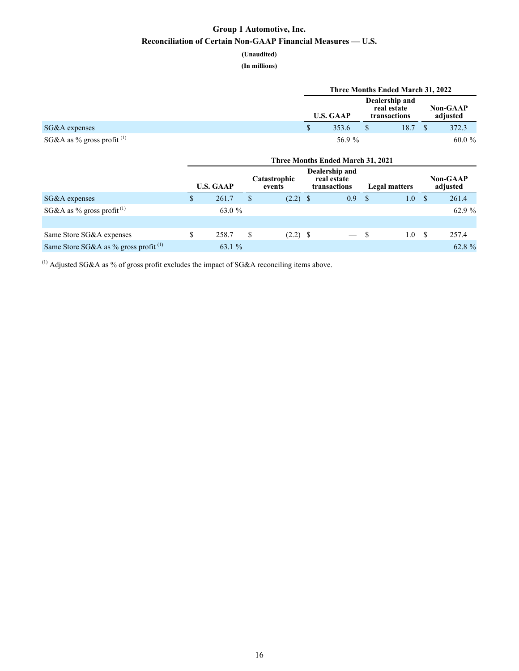## **Group 1 Automotive, Inc. Reconciliation of Certain Non-GAAP Financial Measures — U.S.**

# **(Unaudited)**

**(In millions)**

|                              | Three Months Ended March 31, 2022 |                                               |      |  |                             |  |  |
|------------------------------|-----------------------------------|-----------------------------------------------|------|--|-----------------------------|--|--|
|                              | <b>U.S. GAAP</b>                  | Dealership and<br>real estate<br>transactions |      |  | <b>Non-GAAP</b><br>adjusted |  |  |
| $SG&A$ expenses              | 353.6                             |                                               | 18.7 |  | 372.3                       |  |  |
| SG&A as % gross profit $(1)$ | 56.9 %                            |                                               |      |  | $60.0 \%$                   |  |  |

|                                         | <b>Three Months Ended March 31, 2021</b> |        |     |                        |  |                                               |      |                      |      |                             |
|-----------------------------------------|------------------------------------------|--------|-----|------------------------|--|-----------------------------------------------|------|----------------------|------|-----------------------------|
|                                         | <b>U.S. GAAP</b>                         |        |     | Catastrophic<br>events |  | Dealership and<br>real estate<br>transactions |      | <b>Legal matters</b> |      | <b>Non-GAAP</b><br>adjusted |
| SG&A expenses                           |                                          | 261.7  |     | $(2.2)$ \$             |  | 0.9                                           | - \$ | 1.0                  | - \$ | 261.4                       |
| SG&A as % gross profit <sup>(1)</sup>   |                                          | 63.0 % |     |                        |  |                                               |      |                      |      | 62.9 %                      |
|                                         |                                          |        |     |                        |  |                                               |      |                      |      |                             |
| Same Store SG&A expenses                |                                          | 258.7  | \$. | $(2.2)$ \$             |  | $-$ \$                                        |      | 1.0                  | - S  | 257.4                       |
| Same Store SG&A as % gross profit $(1)$ |                                          | 63.1 % |     |                        |  |                                               |      |                      |      | 62.8 %                      |

 $(1)$  Adjusted SG&A as % of gross profit excludes the impact of SG&A reconciling items above.